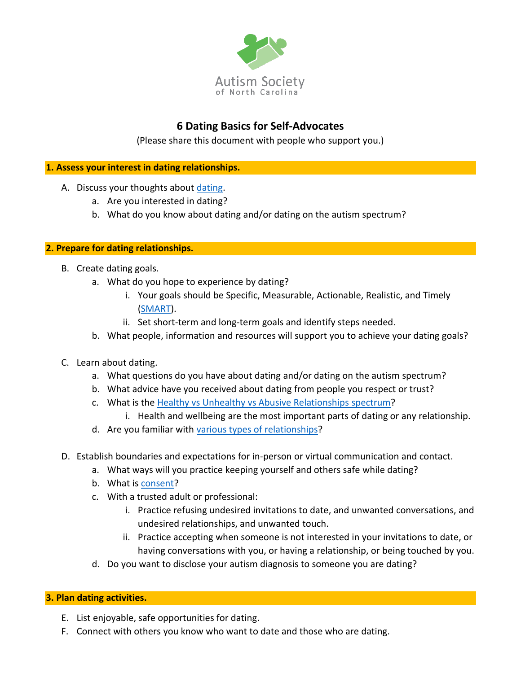

## **6 Dating Basics for Self-Advocates**

(Please share this document with people who support you.)

## **1. Assess your interest in dating relationships.**

- A. Discuss your thoughts about [dating.](https://www.loveisrespect.org/pdf/What_Is_Dating.pdf)
	- a. Are you interested in dating?
	- b. What do you know about dating and/or dating on the autism spectrum?

## **2. Prepare for dating relationships.**

- B. Create dating goals.
	- a. What do you hope to experience by dating?
		- i. Your goals should be Specific, Measurable, Actionable, Realistic, and Timely [\(SMART\)](https://www.khanacademy.org/college-careers-more/learnstorm-growth-mindset-activities-us/elementary-and-middle-school-activities/setting-goals/v/learnstorm-growth-mindset-how-to-write-a-smart-goal).
		- ii. Set short-term and long-term goals and identify steps needed.
	- b. What people, information and resources will support you to achieve your dating goals?
- C. Learn about dating.
	- a. What questions do you have about dating and/or dating on the autism spectrum?
	- b. What advice have you received about dating from people you respect or trust?
	- c. What is the [Healthy vs Unhealthy vs Abusive Relationships](https://www.loveisrespect.org/healthy-relationships/relationship-spectrum/) spectrum?
		- i. Health and wellbeing are the most important parts of dating or any relationship.
	- d. Are you familiar with [various types of relationships?](https://www.healthline.com/health/types-of-relationships)
- D. Establish boundaries and expectations for in-person or virtual communication and contact.
	- a. What ways will you practice keeping yourself and others safe while dating?
	- b. What is [consent?](https://www.rainn.org/articles/what-is-consent)
	- c. With a trusted adult or professional:
		- i. Practice refusing undesired invitations to date, and unwanted conversations, and undesired relationships, and unwanted touch.
		- ii. Practice accepting when someone is not interested in your invitations to date, or having conversations with you, or having a relationship, or being touched by you.
	- d. Do you want to disclose your autism diagnosis to someone you are dating?

## **3. Plan dating activities.**

- E. List enjoyable, safe opportunities for dating.
- F. Connect with others you know who want to date and those who are dating.